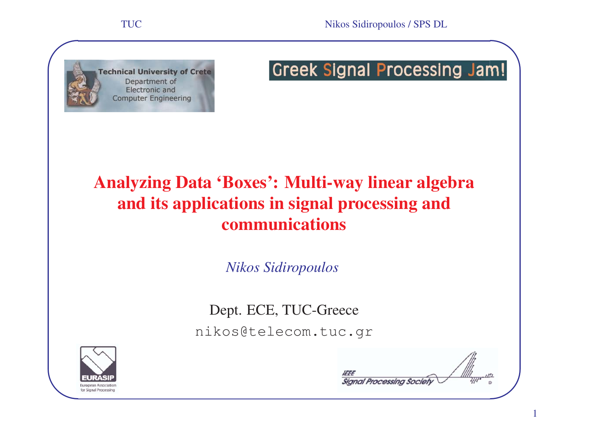

# **Greek Signal Processing Jam!**

# Analyzing Data 'Boxes': Multi-way linear algebra and its applications in signal processing and communications

*Nikos Sidiropoulos*

Dept. ECE, TUC-Greece nikos@telecom.tuc.gr



**✪Signal Processing Society**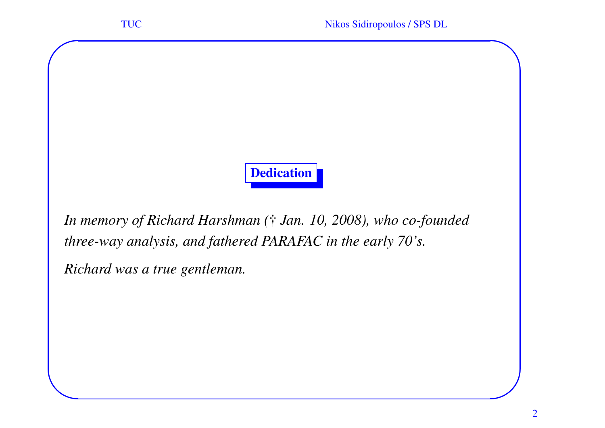# Dedication

*In memory of Richard Harshman (* † *Jan. 10, 2008), who co-founded three-way analysis, and fathered PARAFAC in the early 70's.*

*Richard was <sup>a</sup> true gentleman.*

**✬**

**✫**

**✪**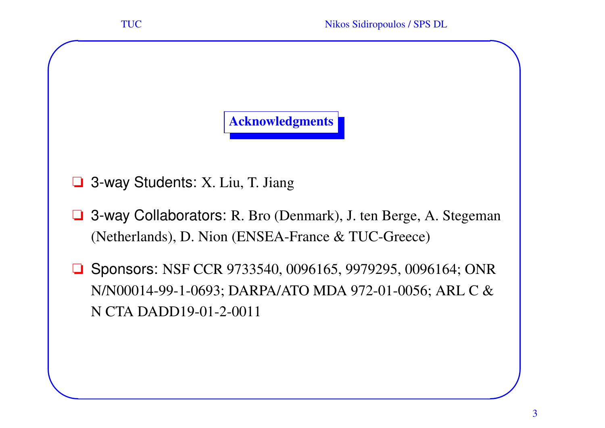

❏ 3-way Students: X. Liu, T. Jiang

**✬**

**✫**

- ❏ 3-way Collaborators: R. Bro (Denmark), J. ten Berge, A. Stegeman (Netherlands), D. Nion (ENSEA-France & TUC-Greece)
- ❏ Sponsors: NSF CCR 9733540, 0096165, 9979295, 0096164; ONR N/N00014-99-1-0693; DARPA/ATO MDA 972-01-0056; ARL C & N CTA DADD19-01-2-0011

**✪**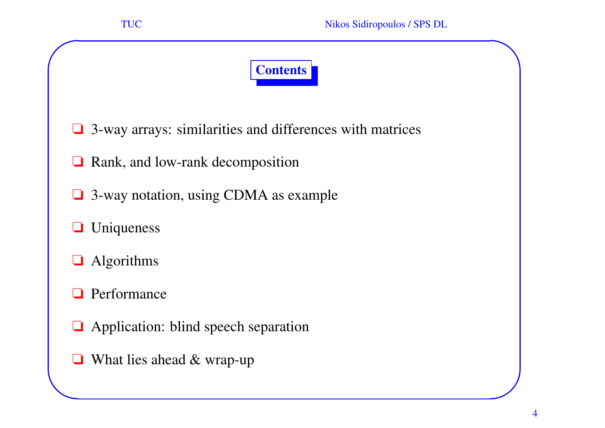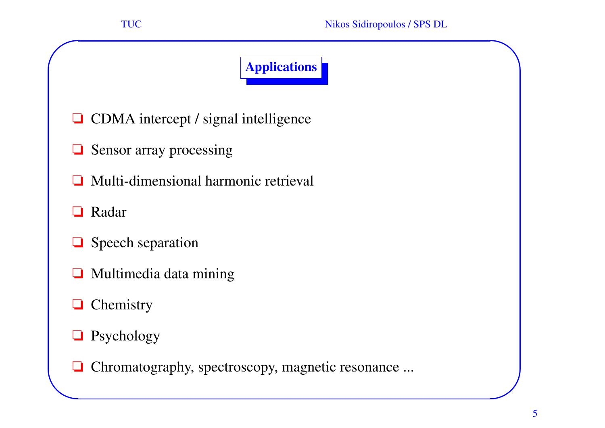# Applications

- ❏ CDMA intercept / signal intelligence
- ❏ Sensor array processing
- $\Box$ Multi-dimensional harmonic retrieval
- ❏Radar

**✬**

- ❏ Speech separation
- ❏Multimedia data mining
- ❏Chemistry
- ❏Psychology
- **✫**❏ Chromatography, spectroscopy, magnetic resonance ...

**✪**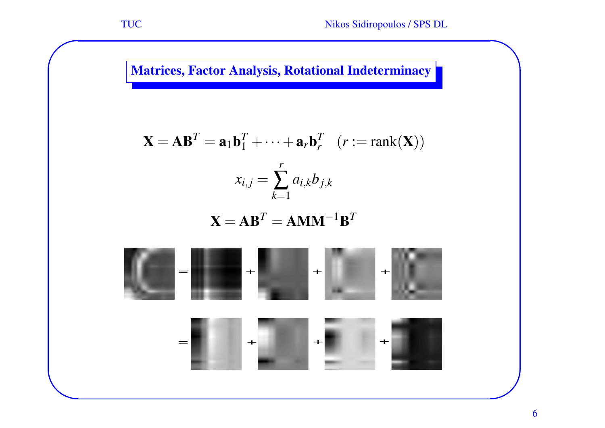**✫**

Matrices, Factor Analysis, Rotational Indeterminacy

$$
\mathbf{X} = \mathbf{A}\mathbf{B}^T = \mathbf{a}_1\mathbf{b}_1^T + \dots + \mathbf{a}_r\mathbf{b}_r^T \quad (r := \text{rank}(\mathbf{X}))
$$

$$
x_{i,j} = \sum_{k=1}^r a_{i,k}b_{j,k}
$$

 $\mathbf{X} = \mathbf{A}\mathbf{B}^T = \mathbf{A}\mathbf{M}\mathbf{M}^{-1}\mathbf{B}$ *T*



**✪**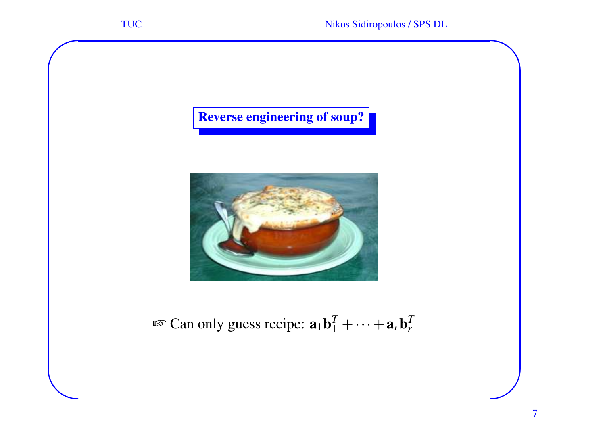Reverse engineering of soup?

**✬**

**✫**



**Exam** only guess recipe:  $\mathbf{a}_1 \mathbf{b}_1^T + \cdots + \mathbf{a}_r \mathbf{b}$ *T r*

**✪**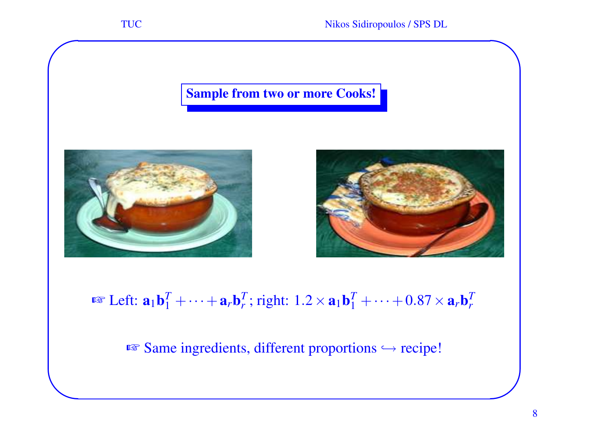**✫**

#### Sample from two or more Cooks!





 $\mathbb{R}^{\mathbb{T}}$  Left:  $\mathbf{a}_1 \mathbf{b}_1^T + \cdots + \mathbf{a}_r \mathbf{b}_r$  $T_r$ ; right:  $1.2 \times a_1 b_1^T + \cdots + 0.87 \times a_r b_r^T$ *T r*

 $\sqrt{w}$  Same ingredients, different proportions  $\hookrightarrow$  recipe!

**✪**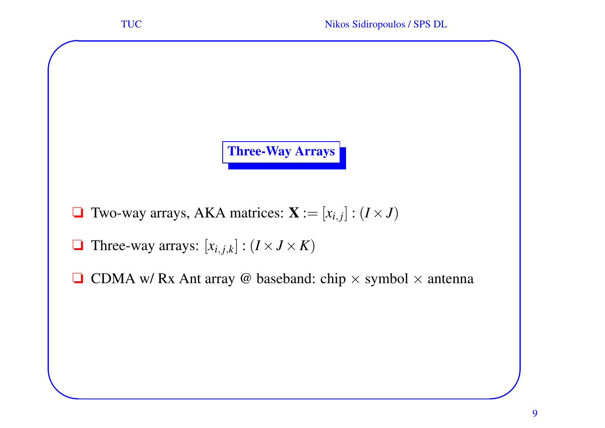Three-Way Arrays

- $\Box$  Two-way arrays, AKA matrices:  $\mathbf{X} := [x_{i,j}] : (I \times J)$
- $\Box$  Three-way arrays:  $[x_{i,j,k}] : (I \times J \times K)$

**✬**

**✫**

 $\Box$  CDMA w/ Rx Ant array @ baseband: chip  $\times$  symbol  $\times$  antenna

**✪**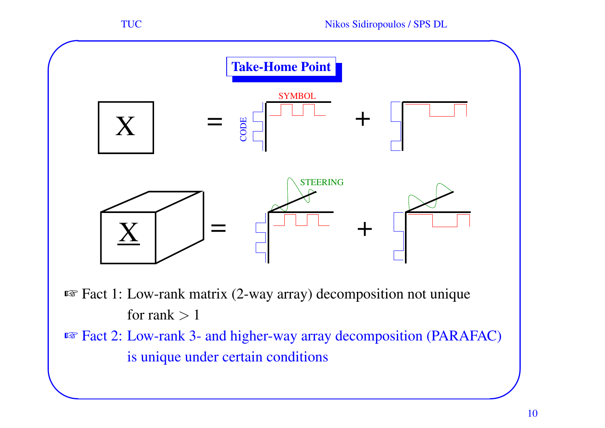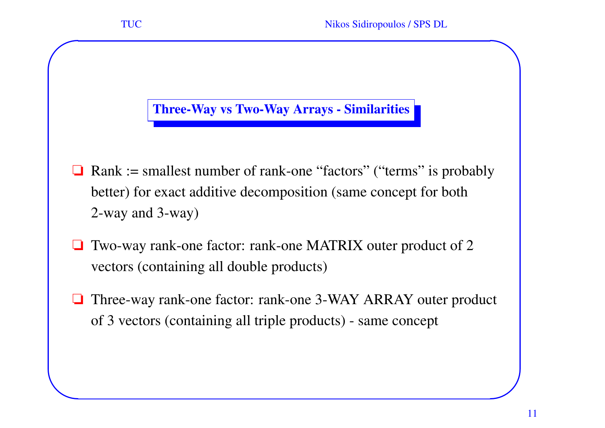#### Three-Way vs Two-Way Arrays - Similarities

**✬**

**✫**

- ❏ Rank := smallest number of rank-one "factors" ("terms" is probably better) for exact additive decomposition (same concep<sup>t</sup> for both 2-way and 3-way)
- ❏ Two-way rank-one factor: rank-one MATRIX outer product of 2 vectors (containing all double products)
- ❏ Three-way rank-one factor: rank-one 3-WAY ARRAY outer product of 3 vectors (containing all triple products) - same concep<sup>t</sup>

**✪**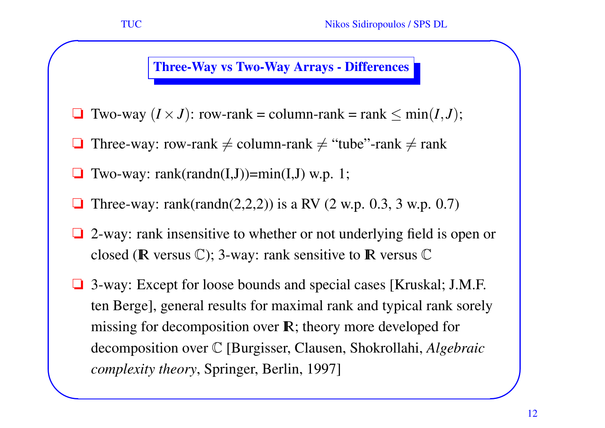Three-Way vs Two-Way Arrays - Differences

- ❏Two-way  $(I \times J)$ : row-rank = column-rank = rank  $\leq \min(I, J)$ ;
- ❏Three-way: row-rank  $\neq$  column-rank  $\neq$  "tube"-rank  $\neq$  rank
- ❏ Two-way: rank(randn(I,J))=min(I,J) w.p. 1;

**✬**

- ❏Three-way: rank(randn(2,2,2)) is a RV (2 w.p. 0.3, 3 w.p. 0.7)
- ❏ 2-way: rank insensitive to whether or not underlying field is open or closed ( $\mathbb R$  versus  $\mathbb C$ ); 3-way: rank sensitive to  $\mathbb R$  versus  $\mathbb C$
- **✫✪**❏ 3-way: Except for loose bounds and special cases [Kruskal; J.M.F. ten Berge], general results for maximal rank and typical rank sorely missing for decomposition over  $\mathbb{R}$ ; theory more developed for decomposition over C [Burgisser, Clausen, Shokrollahi, *Algebraic complexity theory*, Springer, Berlin, 1997]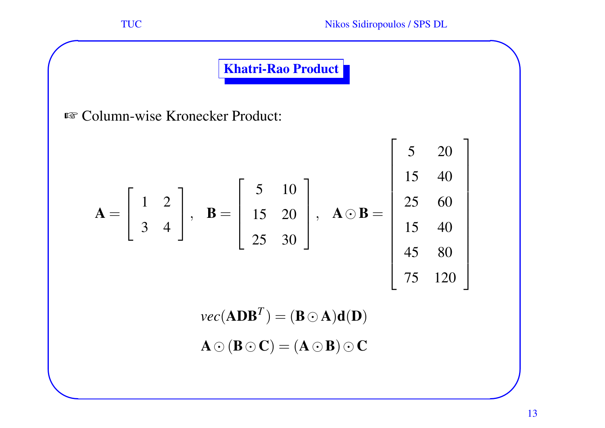**✫**

Khatri-Rao Product

☞ Column-wise Kronecker Product:

$$
\mathbf{A} = \begin{bmatrix} 1 & 2 \\ 3 & 4 \end{bmatrix}, \quad \mathbf{B} = \begin{bmatrix} 5 & 10 \\ 15 & 20 \\ 25 & 30 \end{bmatrix}, \quad \mathbf{A} \odot \mathbf{B} = \begin{bmatrix} 5 & 20 \\ 15 & 40 \\ 15 & 40 \\ 45 & 80 \\ 75 & 120 \end{bmatrix}
$$

 $\textit{vec}(\mathbf{A}\mathbf{D}\mathbf{B}^T) = (\mathbf{B} \odot \mathbf{A}) \mathbf{d}(\mathbf{D})$ 

$$
\mathbf{A}\odot(\mathbf{B}\odot\mathbf{C})=(\mathbf{A}\odot\mathbf{B})\odot\mathbf{C}
$$

**✪**

**✩**

⎤

⎥ ⎥ ⎥ ⎥ ⎥ ⎥ ⎥ ⎥ ⎥ ⎥ ⎥

 $\overline{\phantom{a}}$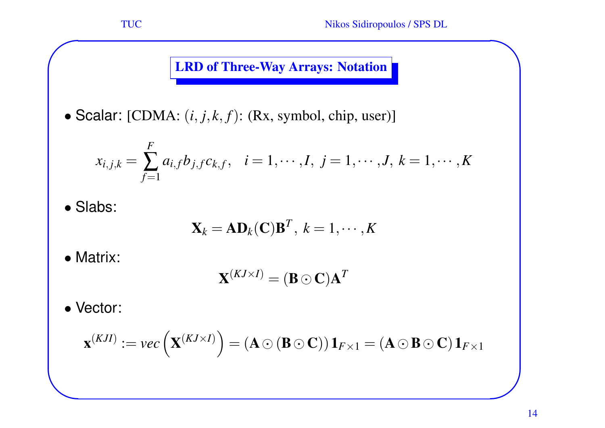## **LRD of Three-Way Arrays: Notation**

• Scalar:  $[CDMA: (i, j, k, f): (Rx, symbol, chip, user)]$ 

$$
x_{i,j,k} = \sum_{f=1}^{F} a_{i,f} b_{j,f} c_{k,f}, \quad i = 1, \cdots, I, \ j = 1, \cdots, J, \ k = 1, \cdots, K
$$

• Slabs:

**✬**

$$
\mathbf{X}_k = \mathbf{A} \mathbf{D}_k(\mathbf{C}) \mathbf{B}^T, \ k = 1, \cdots, K
$$

• Matrix:

$$
\mathbf{X}^{(KJ\times I)}=(\mathbf{B}\odot\mathbf{C})\mathbf{A}^T
$$

• Vector:

**✫**

$$
\mathbf{x}^{(KJI)}:=vec\left(\mathbf{X}^{(KJ\times I)}\right)=(\mathbf{A}\odot(\mathbf{B}\odot\mathbf{C}))\mathbf{1}_{F\times 1}=(\mathbf{A}\odot\mathbf{B}\odot\mathbf{C})\mathbf{1}_{F\times 1}
$$

**✪**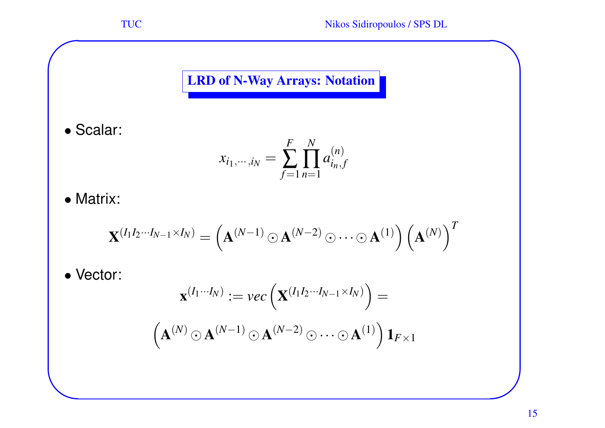## LRD of N-Way Arrays: Notation

• Scalar:

**✬**

$$
x_{i_1,\dots,i_N} = \sum_{f=1}^{F} \prod_{n=1}^{N} a_{i_n,f}^{(n)}
$$

• Matrix:

$$
\mathbf{X}^{(I_1I_2\cdots I_{N-1}\times I_N)} = \left(\mathbf{A}^{(N-1)}\odot\mathbf{A}^{(N-2)}\odot\cdots\odot\mathbf{A}^{(1)}\right)\left(\mathbf{A}^{(N)}\right)^T
$$

• Vector:

**✫**

$$
\mathbf{x}^{(I_1\cdots I_N)} := vec\left(\mathbf{X}^{(I_1I_2\cdots I_{N-1}\times I_N)}\right) =
$$

$$
\left(\mathbf{A}^{(N)} \odot \mathbf{A}^{(N-1)} \odot \mathbf{A}^{(N-2)} \odot \cdots \odot \mathbf{A}^{(1)}\right) \mathbf{1}_{F\times 1}
$$

**✪**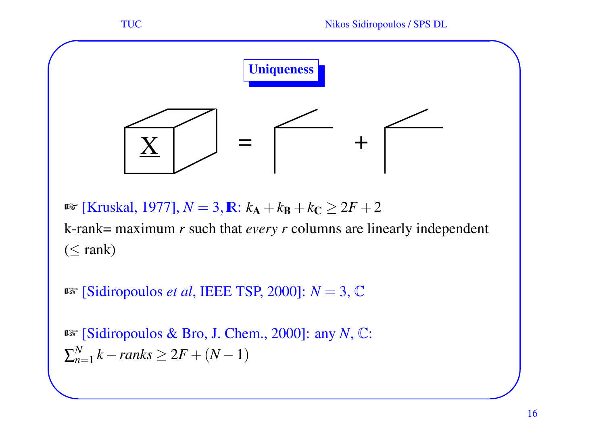

☞ [Kruskal, 1977], *N* = 3,IR: *k*A+ *k*B+ *k* C≥ 2 *F* + 2

k-rank= maximum *r* such that *every <sup>r</sup>* columns are linearly independent  $(\leq$  rank)

☞ [Sidiropoulos *et al*, IEEE TSP, 2000]: *N* = 3, C

☞ [Sidiropoulos & Bro, J. Chem., 2000]: any *N*, C:  $\sum_{n=1}^{N} k - ranks \geq 2F + (N-1)$ 

**✫**

**✪**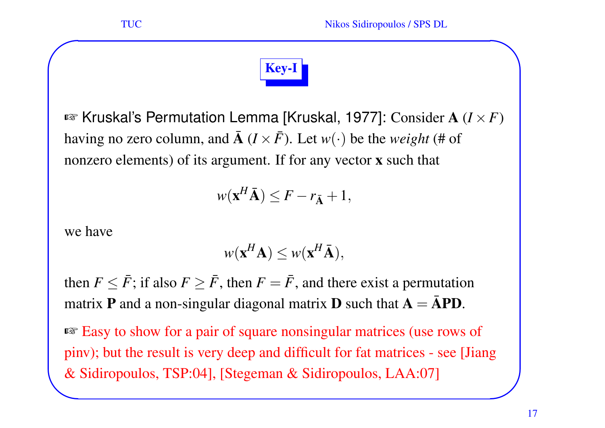

¤ Kruskal's Permutation Lemma [Kruskal, 1977]: Consider A (*I* × *F* ) having no zero column, and  $\bar{\mathbf{A}}$   $(I \times \bar{F})$ . Let  $w(\cdot)$  be the *weight* (# of nonzero elements) of its argument. If for any vector x such that

$$
w(\mathbf{x}^H\bar{\mathbf{A}}) \leq F - r_{\bar{\mathbf{A}}} + 1,
$$

we have

**✬**

$$
w(\mathbf{x}^H \mathbf{A}) \leq w(\mathbf{x}^H \bar{\mathbf{A}}),
$$

then  $F \leq \bar{F}$ ; if also  $F \geq \bar{F}$ , then  $F = \bar{F}$ , and there exist a permutation matrix **P** and a non-singular diagonal matrix **D** such that  $A = \bar{A}PD$ .

& Sidiropoulos, TSP:04], [Stegeman & Sidiropoulos, LAA:07] **✪**☞ Easy to show for <sup>a</sup> pair of square nonsingular matrices (use rows of pinv); but the result is very deep and difficult for fat matrices - see [Jiang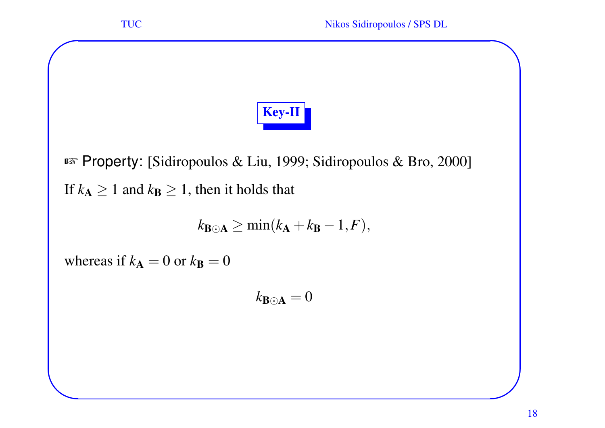**✬** TUC Nikos Sidiropoulos / SPS DL **✩** Key-II ☞ Property: [Sidiropoulos & Liu, 1999; Sidiropoulos & Bro, 2000] If  $k_{\mathbf{A}}\geq 1$  and  $k_{\mathbf{B}}\geq 1,$  then it holds that  $k_{\mathbf{B}\odot\mathbf{A}} \geq \min(k_{\mathbf{A}}+k_{\mathbf{B}})$  $-1$ , $F$ ),

whereas if  $k_{\mathbf{A}} = 0$  or  $k_{\mathbf{B}} = 0$ 

**✫**

 $k_{\mathbf{B}\odot\mathbf{A}}=0$ 

**✪**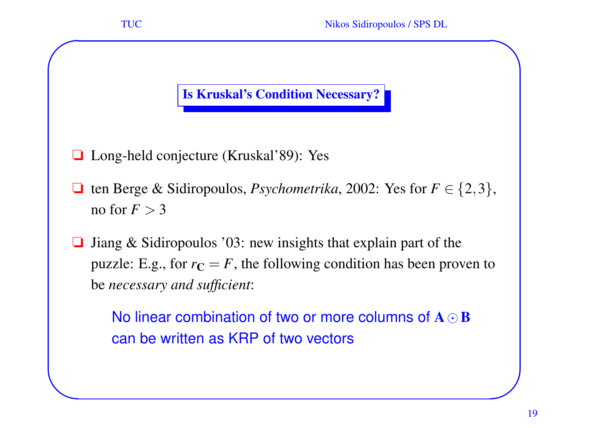

**✫**

#### Is Kruskal's Condition Necessary?

- ❏ Long-held conjecture (Kruskal'89): Yes
- □ ten Berge & Sidiropoulos, *Psychometrika*, 2002: Yes for  $F \in \{2, 3\}$ , no for  $F>3$
- ❏ Jiang & Sidiropoulos '03: new insights that explain par<sup>t</sup> of the puzzle: E.g., for  $r_{\mathbf{C}} = F$ , the following condition has been proven to be *necessary and sufficient*:

No linear combination of two or more columns of  $\mathbf{A} \odot \mathbf{B}$ can be written as KRP of two vectors

**✪**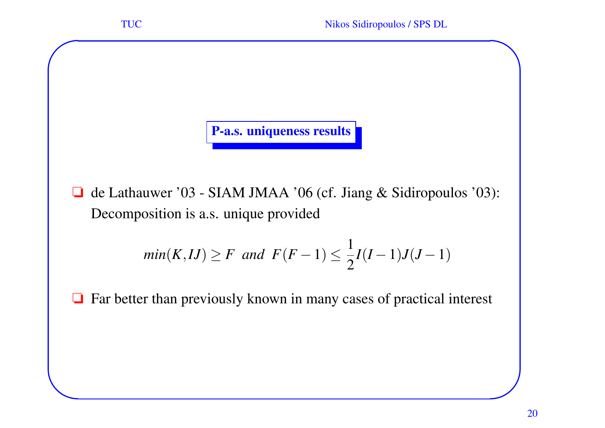P-a.s. uniqueness results

**✬**

**✫**

❏ de Lathauwer '03 - SIAM JMAA '06 (cf. Jiang & Sidiropoulos '03): Decomposition is a.s. unique provided

$$
min(K, IJ) \ge F \ and \ F(F-1) \le \frac{1}{2}I(I-1)J(J-1)
$$

❏ Far better than previously known in many cases of practical interest

**✪**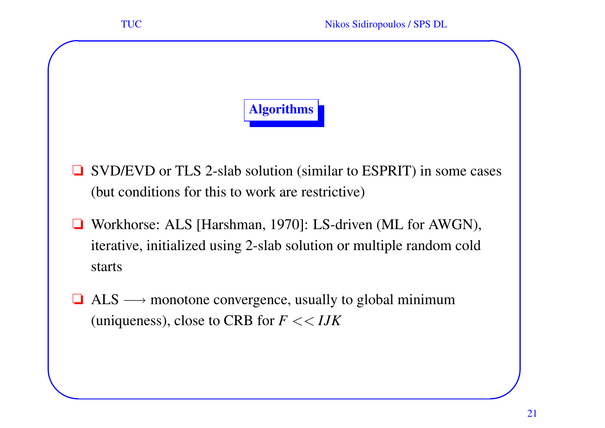

**✫**

- ❏ SVD/EVD or TLS 2-slab solution (similar to ESPRIT) in some cases (but conditions for this to work are restrictive)
- ❏ Workhorse: ALS [Harshman, 1970]: LS-driven (ML for AWGN), iterative, initialized using 2-slab solution or multiple random cold starts
- $\Box$  ALS  $\longrightarrow$  monotone convergence, usually to global minimum (uniqueness), close to CRB for *F* << *IJK*

**✪**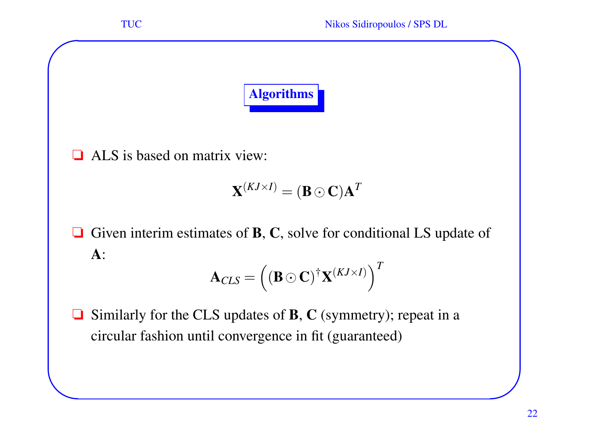

❏ ALS is based on matrix view:

**✬**

**✫**

$$
\mathbf{X}^{(KJ\times I)}=(\mathbf{B}\odot\mathbf{C})\mathbf{A}^T
$$

 $\Box$  Given interim estimates of **B**, **C**, solve for conditional LS update of  $\mathbf{A}$  :

$$
\mathbf{A}_{CLS} = ((\mathbf{B} \odot \mathbf{C})^{\dagger} \mathbf{X}^{(KJ \times I)})^T
$$

❏ $\Box$  Similarly for the CLS updates of **B**, C (symmetry); repeat in a circular fashion until convergence in fit (guaranteed)

**✪**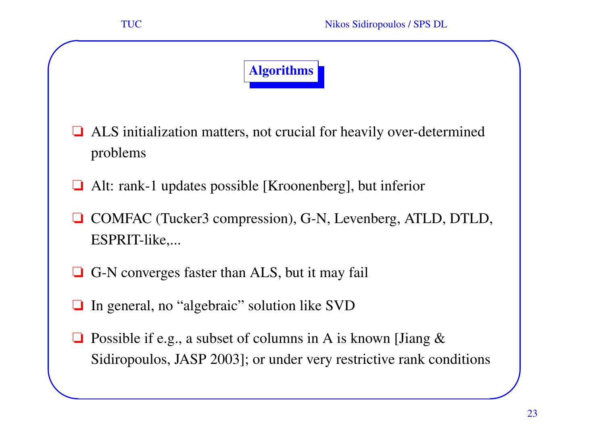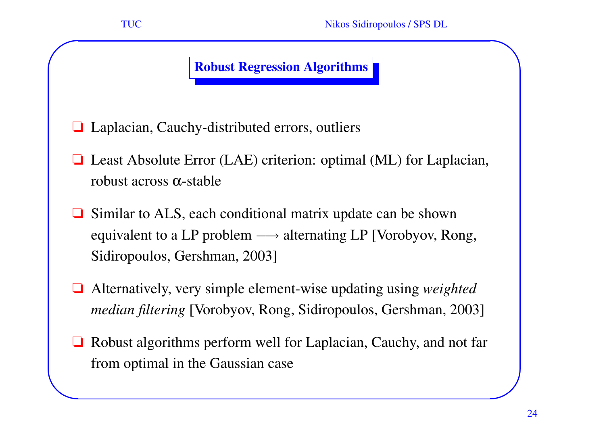#### Robust Regression Algorithms

❏ Laplacian, Cauchy-distributed errors, outliers

**✬**

- ❏ Least Absolute Error (LAE) criterion: optimal (ML) for Laplacian, robust across  $\alpha$ -stable
- ❏ Similar to ALS, each conditional matrix update can be shown equivalent to a LP problem  $\longrightarrow$  alternating LP [Vorobyov, Rong, Sidiropoulos, Gershman, 2003]
- ❏ Alternatively, very simple element-wise updating using *weighted median filtering* [Vorobyov, Rong, Sidiropoulos, Gershman, 2003]
- **✫**❏ Robust algorithms perform well for Laplacian, Cauchy, and not far from optimal in the Gaussian case

**✪**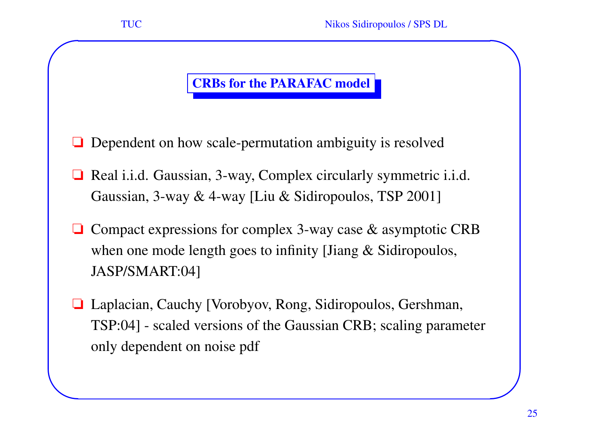## CRBs for the PARAFAC model

- ❏ Dependent on how scale-permutation ambiguity is resolved
- ❏ Real i.i.d. Gaussian, 3-way, Complex circularly symmetric i.i.d. Gaussian, 3-way & 4-way [Liu & Sidiropoulos, TSP 2001]
- ❏ Compact expressions for complex 3-way case & asymptotic CRB when one mode length goes to infinity [Jiang & Sidiropoulos, JASP/SMART:04]
- ❏ Laplacian, Cauchy [Vorobyov, Rong, Sidiropoulos, Gershman, TSP:04] - scaled versions of the Gaussian CRB; scaling parameter only dependent on noise pdf

**✬**

**✫**

**✪**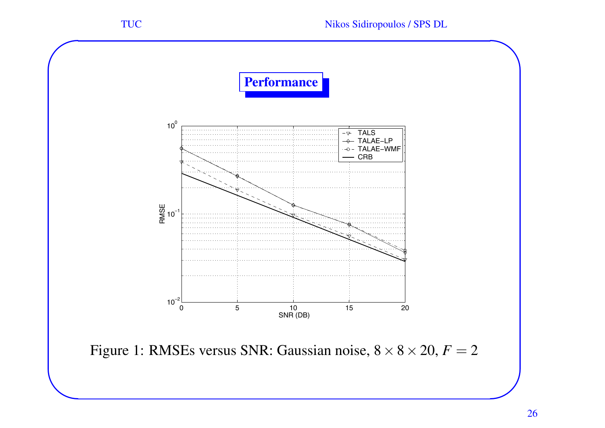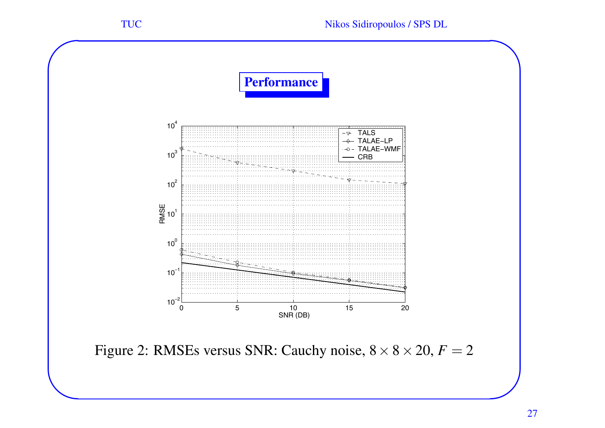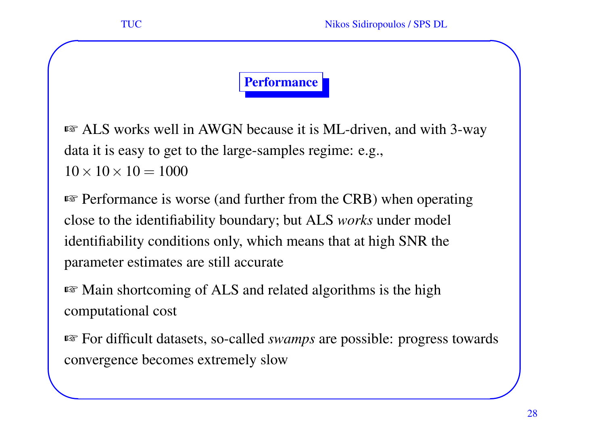**✫**

### Performance

☞ ALS works well in AWGN because it is ML-driven, and with 3-way data it is easy to ge<sup>t</sup> to the large-samples regime: e.g.,  $10\times10\times10= 1000$ 

☞ Performance is worse (and further from the CRB) when operating close to the identifiability boundary; but ALS *works* under model identifiability conditions only, which means that at high SNR the parameter estimates are still accurate

☞ Main shortcoming of ALS and related algorithms is the high computational cost

☞ For difficult datasets, so-called *swamps* are possible: progress towards convergence becomes extremely slow

**✪**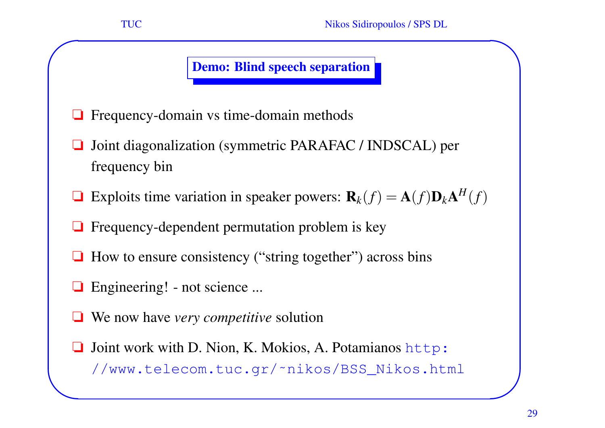#### Demo: Blind speech separation

- ❏Frequency-domain vs time-domain methods
- ❏ Joint diagonalization (symmetric PARAFAC / INDSCAL) per frequency bin
- $\Box$  Exploits time variation in speaker powers:  $\mathbf{R}_k(f) = \mathbf{A}(f)\mathbf{D}_k\mathbf{A}$ *H* ( *f* )
- ❏ Frequency-dependent permutation problem is key
- ❏ How to ensure consistency ("string together") across bins
- ❏ Engineering! not science ...

**✬**

- ❏We now have *very competitive* solution
- **✫**❏ Joint work with D. Nion, K. Mokios, A. Potamianos http: //www.telecom.tuc.gr/~nikos/BSS\_Nikos.html

**✪**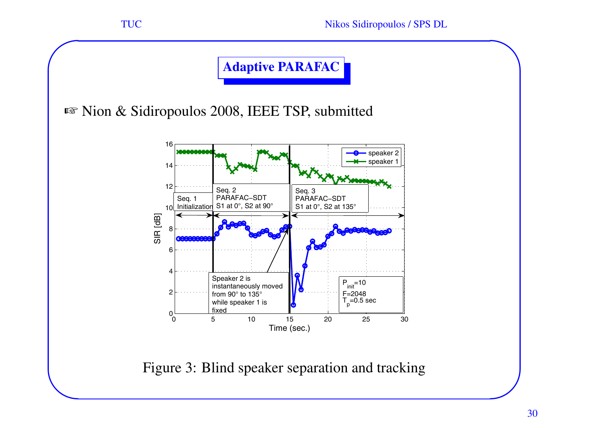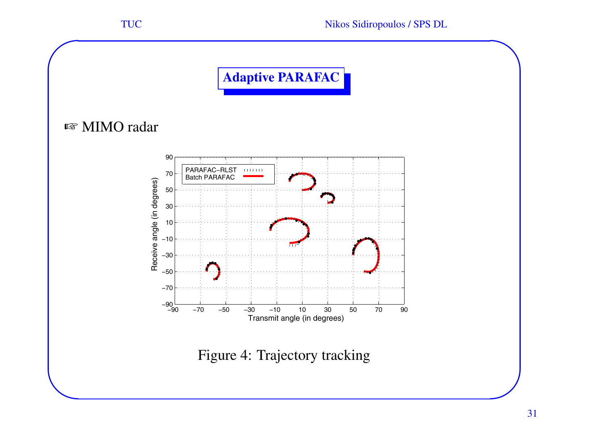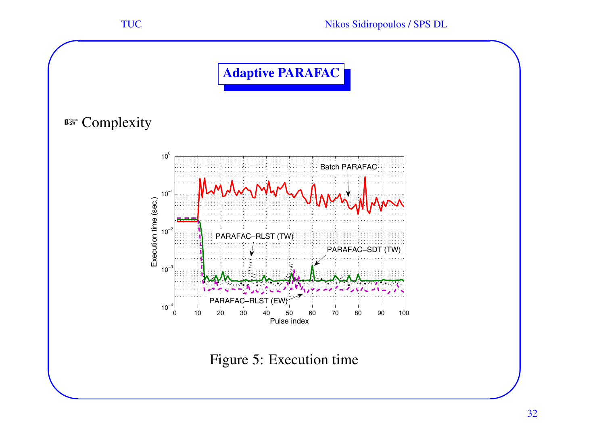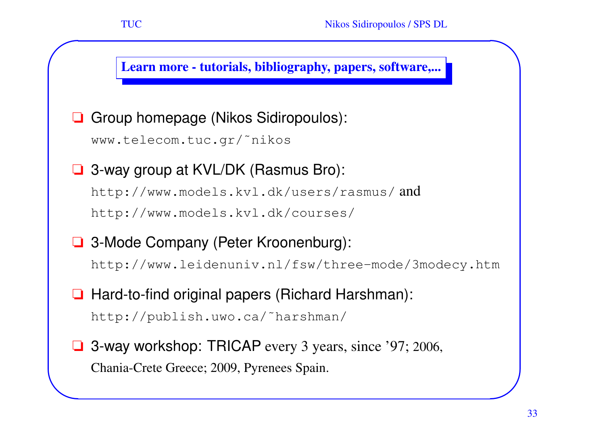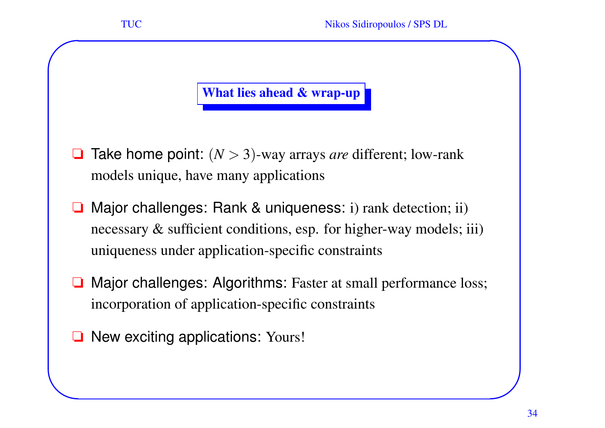#### What lies ahead & wrap-up

- ❏**□** Take home point:  $(N > 3)$ -way arrays *are* different; low-rank models unique, have many applications
- ❏ Major challenges: Rank & uniqueness: i) rank detection; ii) necessary & sufficient conditions, esp. for higher-way models; iii) uniqueness under application-specific constraints
- ❏ Major challenges: Algorithms: Faster at small performance loss; incorporation of application-specific constraints
- ❏ New exciting applications: Yours!

**✬**

**✫**

**✪**